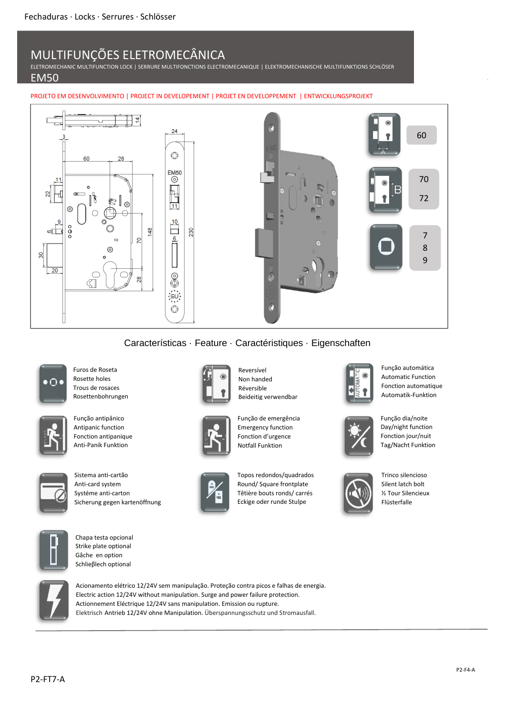## MULTIFUNÇÕES ELETROMECÂNICA

ELETROMECHANIC MULTIFUNCTION LOCK | SERRURE MULTIFONCTIONS ELECTROMECANIQUE | ELEKTROMECHANISCHE MULTIFUNKTIONS SCHLÖSER

#### EM50

PROJETO EM DESENVOLVIMENTO | PROJECT IN DEVELOPEMENT | PROJET EN DEVELOPPEMENT | ENTWICKLUNGSPROJEKT



### Características · Feature · Caractéristiques · Eigenschaften

Reversível Non handed Réversible

Beideitig verwendbar

Função de emergência Emergency function Fonction d'urgence Notfall Funktion

Topos redondos/quadrados Round/ Square frontplate Têtière bouts ronds/ carrés Eckige oder runde Stulpe



Furos de Roseta Rosette holes Trous de rosaces Rosettenbohrungen



Função antipânico Antipanic function Fonction antipanique Anti-Panik Funktion

![](_page_0_Picture_11.jpeg)

Sistema anti-cartão Anti-card system Systéme anti-carton Sicherung gegen kartenöffnung

![](_page_0_Picture_13.jpeg)

Chapa testa opcional Strike plate optional Gâche en option Schlieβlech optional

![](_page_0_Picture_15.jpeg)

Acionamento elétrico 12/24V sem manipulação. Proteção contra picos e falhas de energia. Electric action 12/24V without manipulation. Surge and power failure protection. Actionnement Eléctrique 12/24V sans manipulation. Emission ou rupture. Elektrisch Antrieb 12/24V ohne Manipulation. Überspannungsschutz und Stromausfall.

![](_page_0_Picture_17.jpeg)

Função automática Automatic Function Fonction automatique Automatik-Funktion

![](_page_0_Figure_19.jpeg)

Day/night function Fonction jour/nuit Tag/Nacht Funktion

Função dia/noite

![](_page_0_Picture_21.jpeg)

Trinco silencioso Silent latch bolt ½ Tour Silencieux Flüsterfalle